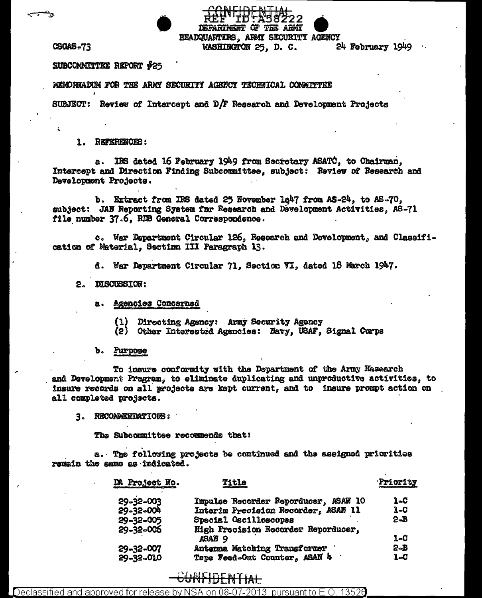CSGAS-73

DEFARTMENT OF THE ARMI HEADQUARTERS, ARMY SECURITY AGENCY WASHINGTON 25, D. C.

24 February 1949

SUBCOMMITTEE REPORT #25

MEMORGADUM FOR THE ARMY SECURITY AGENCY TECHNICAL COMMUTTEE

SUBJECT: Review of Intercept and  $D/F$  Research and Development Projects

1. REFERENCES:

IRS dated 16 February 1949 from Secretary ASATC, to Chairman, a. Intercept and Direction Finding Subcommittee, subject: Review of Research and Development Projects.

b. Extract from IRS dated 25 November 1g47 from AS-24, to AS-70, subject: JAN Reporting System for Research and Development Activities, AS-71 file number 37.6, RDB General Correspondence.

c. Wer Department Circular 126, Research and Development, and Classification of Material. Section III Paragraph 13.

d. War Department Circular 71. Section VI. dated 18 March 1947.

 $2.$ **DISCUSSION:** 

a. Agencies Concerned

(1) Directing Agency: Army Security Agency

(2) Other Interested Agencies: Navy, USAF, Signal Corps

b. Purpose

To insure conformity with the Department of the Army Kasearch and Development Program, to eliminate duplicating and unproductive activities, to insure records on all projects are kept current, and to insure prompt action on all completed projects.

3. RECOMMENDATIONS:

The Subcommittee recommends that:

a. The following projects be continued and the assigned priorities remain the same as indicated.

| DA Project No. | Title                                         | Priority |  |
|----------------|-----------------------------------------------|----------|--|
| 29-32-003      | Impulse Recorder Reporducer, ASAN 10          | 1.C      |  |
| 29-32-004      | Interim Precision Recorder, ASAN 11           | $1 - C$  |  |
| 29-32-005      | Special Oscilloscopes                         | $2 - B$  |  |
| 29-32-006      | High Precision Recorder Reporducer,<br>ASAN 9 | 1-C      |  |
| 29-32-007      | Antenna Matching Transformer                  | 2-B      |  |
| 29-32-010      | Tape Feed-Out Counter, ASAN 4                 | 1.-C     |  |

Declassified and approved for release by NSA on 08-07-2013 pursuant to E.O. 13526